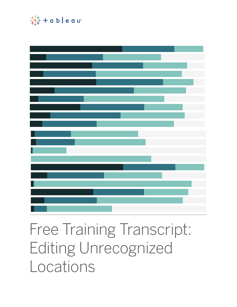

## Free Training Transcript: Editing Unrecognized Locations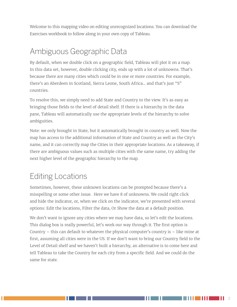Welcome to this mapping video on editing unrecognized locations. You can download the Exercises workbook to follow along in your own copy of Tableau.

## Ambiguous Geographic Data

By default, when we double click on a geographic field, Tableau will plot it on a map. In this data set, however, double clicking city, ends up with a lot of unknowns. That's because there are many cities which could be in one or more countries. For example, there's an Aberdeen in Scotland, Sierra Leone, South Africa… and that's just "S" countries.

To resolve this, we simply need to add State and Country to the view. It's as easy as bringing those fields to the level of detail shelf. If there is a hierarchy in the data pane, Tableau will automatically use the appropriate levels of the hierarchy to solve ambiguities.

Note: we only brought in State, but it automatically brought in country as well. Now the map has access to the additional information of State and Country as well as the City's name, and it can correctly map the Cities in their appropriate locations. As a takeaway, if there are ambiguous values such as multiple cities with the same name, try adding the next higher level of the geographic hierarchy to the map.

## Editing Locations

Sometimes, however, these unknown locations can be prompted because there's a misspelling or some other issue. Here we have 8 of unknowns. We could right click and hide the indicator, or, when we click on the indicator, we're presented with several options: Edit the locations, Filter the data, Or Show the data at a default position.

We don't want to ignore any cities where we may have data, so let's edit the locations. This dialog box is really powerful, let's work our way through it. The first option is Country – this can default to whatever the physical computer's country is – like mine at first, assuming all cities were in the US. If we don't want to bring our Country field to the Level of Detail shelf and we haven't built a hierarchy, an alternative is to come here and tell Tableau to take the Country for each city from a specific field. And we could do the same for state.

HH I